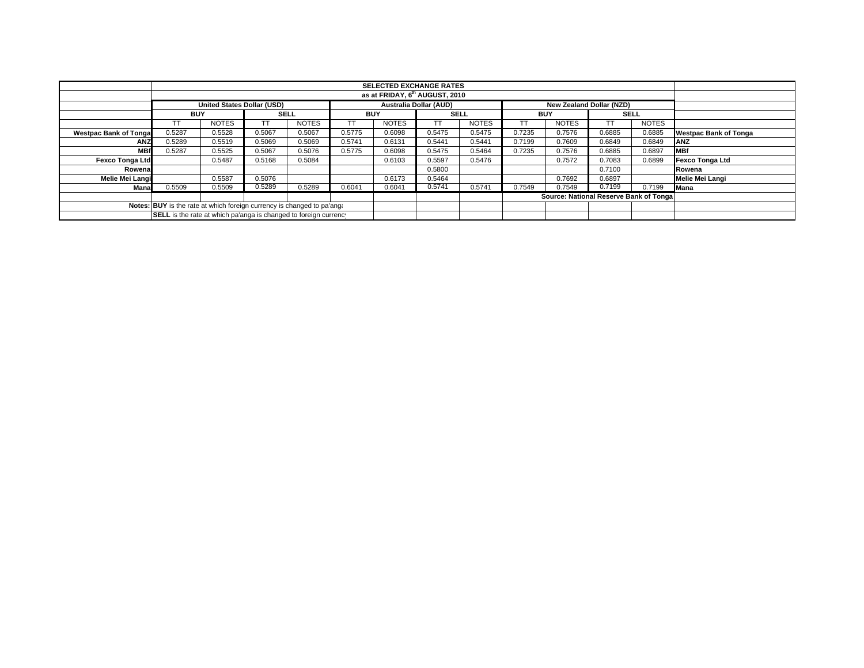|                                                                        |                                                                                                       |              |             |              |            | <b>SELECTED EXCHANGE RATES</b> |             |              |            |              |                                        |              |                              |
|------------------------------------------------------------------------|-------------------------------------------------------------------------------------------------------|--------------|-------------|--------------|------------|--------------------------------|-------------|--------------|------------|--------------|----------------------------------------|--------------|------------------------------|
|                                                                        |                                                                                                       |              |             |              |            |                                |             |              |            |              |                                        |              |                              |
|                                                                        | <b>United States Dollar (USD)</b><br><b>Australia Dollar (AUD)</b><br><b>New Zealand Dollar (NZD)</b> |              |             |              |            |                                |             |              |            |              |                                        |              |                              |
|                                                                        | <b>BUY</b>                                                                                            |              | <b>SELL</b> |              | <b>BUY</b> |                                | <b>SELL</b> |              | <b>BUY</b> |              | <b>SELL</b>                            |              |                              |
|                                                                        |                                                                                                       | <b>NOTES</b> | ТT          | <b>NOTES</b> | TT         | <b>NOTES</b>                   | TT.         | <b>NOTES</b> |            | <b>NOTES</b> |                                        | <b>NOTES</b> |                              |
| <b>Westpac Bank of Tonga</b>                                           | 0.5287                                                                                                | 0.5528       | 0.5067      | 0.5067       | 0.5775     | 0.6098                         | 0.5475      | 0.5475       | 0.7235     | 0.7576       | 0.6885                                 | 0.6885       | <b>Westpac Bank of Tonga</b> |
| <b>ANZ</b>                                                             | 0.5289                                                                                                | 0.5519       | 0.5069      | 0.5069       | 0.5741     | 0.6131                         | 0.5441      | 0.5441       | 0.7199     | 0.7609       | 0.6849                                 | 0.6849       | <b>ANZ</b>                   |
| <b>MBf</b>                                                             | 0.5287                                                                                                | 0.5525       | 0.5067      | 0.5076       | 0.5775     | 0.6098                         | 0.5475      | 0.5464       | 0.7235     | 0.7576       | 0.6885                                 | 0.6897       | <b>MBf</b>                   |
| <b>Fexco Tonga Ltd</b>                                                 |                                                                                                       | 0.5487       | 0.5168      | 0.5084       |            | 0.6103                         | 0.5597      | 0.5476       |            | 0.7572       | 0.7083                                 | 0.6899       | Fexco Tonga Ltd              |
| Rowena                                                                 |                                                                                                       |              |             |              |            |                                | 0.5800      |              |            |              | 0.7100                                 |              | Rowena                       |
| Melie Mei Langi                                                        |                                                                                                       | 0.5587       | 0.5076      |              |            | 0.6173                         | 0.5464      |              |            | 0.7692       | 0.6897                                 |              | Melie Mei Langi              |
| Mana                                                                   | 0.5509                                                                                                | 0.5509       | 0.5289      | 0.5289       | 0.6041     | 0.6041                         | 0.5741      | 0.5741       | 0.7549     | 0.7549       | 0.7199                                 | 0.7199       | <b>Mana</b>                  |
|                                                                        |                                                                                                       |              |             |              |            |                                |             |              |            |              | Source: National Reserve Bank of Tonga |              |                              |
| Notes: BUY is the rate at which foreign currency is changed to pa'ang: |                                                                                                       |              |             |              |            |                                |             |              |            |              |                                        |              |                              |
|                                                                        | SELL is the rate at which pa'anga is changed to foreign currency                                      |              |             |              |            |                                |             |              |            |              |                                        |              |                              |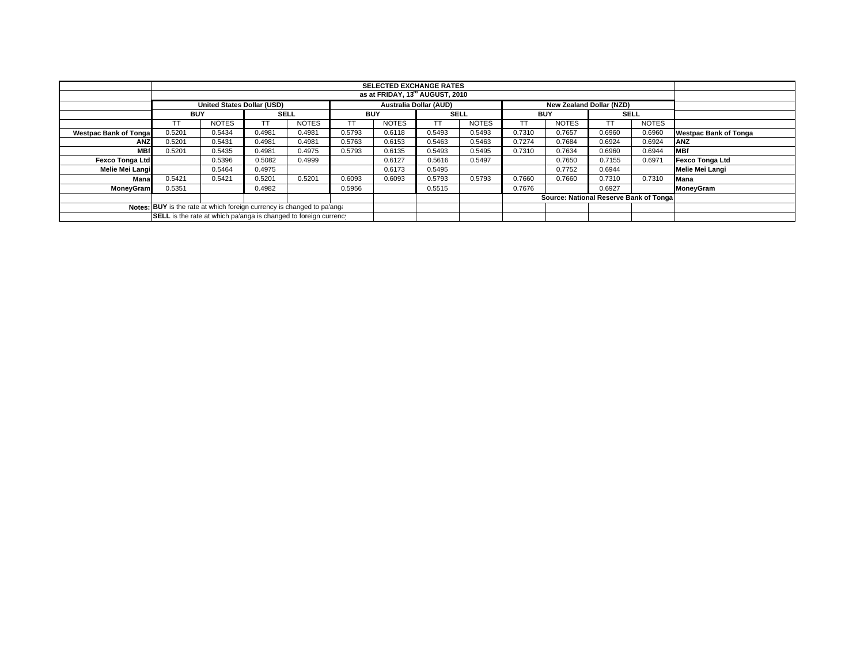|                                                                        | <b>SELECTED EXCHANGE RATES</b><br>as at FRIDAY, 13 <sup>rd</sup> AUGUST, 2010                  |              |             |              |            |              |             |              |            |                                         |             |              |                              |
|------------------------------------------------------------------------|------------------------------------------------------------------------------------------------|--------------|-------------|--------------|------------|--------------|-------------|--------------|------------|-----------------------------------------|-------------|--------------|------------------------------|
|                                                                        |                                                                                                |              |             |              |            |              |             |              |            |                                         |             |              |                              |
|                                                                        | <b>Australia Dollar (AUD)</b><br><b>United States Dollar (USD)</b><br>New Zealand Dollar (NZD) |              |             |              |            |              |             |              |            |                                         |             |              |                              |
|                                                                        | <b>BUY</b>                                                                                     |              | <b>SELL</b> |              | <b>BUY</b> |              | <b>SELL</b> |              | <b>BUY</b> |                                         | <b>SELL</b> |              |                              |
|                                                                        |                                                                                                | <b>NOTES</b> | ТT          | <b>NOTES</b> | TT         | <b>NOTES</b> | ТT          | <b>NOTES</b> |            | <b>NOTES</b>                            |             | <b>NOTES</b> |                              |
| <b>Westpac Bank of Tonga</b>                                           | 0.5201                                                                                         | 0.5434       | 0.4981      | 0.4981       | 0.5793     | 0.6118       | 0.5493      | 0.5493       | 0.7310     | 0.7657                                  | 0.6960      | 0.6960       | <b>Westpac Bank of Tonga</b> |
| <b>ANZ</b>                                                             | 0.5201                                                                                         | 0.5431       | 0.4981      | 0.4981       | 0.5763     | 0.6153       | 0.5463      | 0.5463       | 0.7274     | 0.7684                                  | 0.6924      | 0.6924       | <b>ANZ</b>                   |
| <b>MBf</b>                                                             | 0.5201                                                                                         | 0.5435       | 0.4981      | 0.4975       | 0.5793     | 0.6135       | 0.5493      | 0.5495       | 0.7310     | 0.7634                                  | 0.6960      | 0.6944       | <b>IMBf</b>                  |
| <b>Fexco Tonga Ltd</b>                                                 |                                                                                                | 0.5396       | 0.5082      | 0.4999       |            | 0.6127       | 0.5616      | 0.5497       |            | 0.7650                                  | 0.7155      | 0.6971       | Fexco Tonga Ltd              |
| Melie Mei Langi                                                        |                                                                                                | 0.5464       | 0.4975      |              |            | 0.6173       | 0.5495      |              |            | 0.7752                                  | 0.6944      |              | Melie Mei Langi              |
| Mana                                                                   | 0.5421                                                                                         | 0.5421       | 0.5201      | 0.5201       | 0.6093     | 0.6093       | 0.5793      | 0.5793       | 0.7660     | 0.7660                                  | 0.7310      | 0.7310       | Mana                         |
| <b>MoneyGram</b>                                                       | 0.5351                                                                                         |              | 0.4982      |              | 0.5956     |              | 0.5515      |              | 0.7676     |                                         | 0.6927      |              | MoneyGram                    |
|                                                                        |                                                                                                |              |             |              |            |              |             |              |            | Source: National Reserve Bank of Tongal |             |              |                              |
| Notes: BUY is the rate at which foreign currency is changed to pa'ang: |                                                                                                |              |             |              |            |              |             |              |            |                                         |             |              |                              |
| SELL is the rate at which pa'anga is changed to foreign currency       |                                                                                                |              |             |              |            |              |             |              |            |                                         |             |              |                              |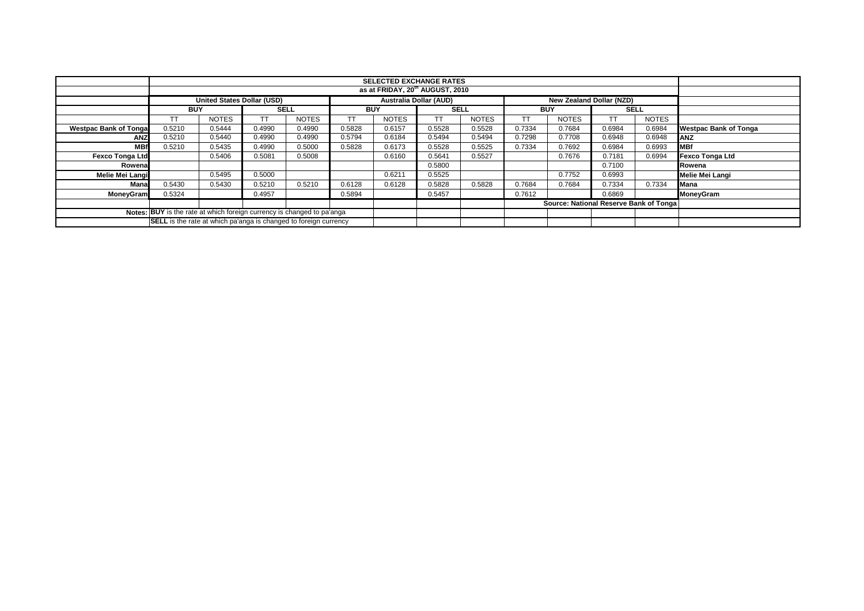|                                                                        |                                                                                                       |              |             |              |            | <b>SELECTED EXCHANGE RATES</b><br>as at FRIDAY, 20 <sup>th</sup> AUGUST, 2010 |             |              |            |                                        |           |              |                              |
|------------------------------------------------------------------------|-------------------------------------------------------------------------------------------------------|--------------|-------------|--------------|------------|-------------------------------------------------------------------------------|-------------|--------------|------------|----------------------------------------|-----------|--------------|------------------------------|
|                                                                        |                                                                                                       |              |             |              |            |                                                                               |             |              |            |                                        |           |              |                              |
|                                                                        | <b>United States Dollar (USD)</b><br><b>Australia Dollar (AUD)</b><br><b>New Zealand Dollar (NZD)</b> |              |             |              |            |                                                                               |             |              |            |                                        |           |              |                              |
|                                                                        | <b>BUY</b>                                                                                            |              | <b>SELL</b> |              | <b>BUY</b> |                                                                               | <b>SELL</b> |              | <b>BUY</b> |                                        |           | <b>SELL</b>  |                              |
|                                                                        | TТ                                                                                                    | <b>NOTES</b> |             | <b>NOTES</b> | тт         | <b>NOTES</b>                                                                  | TТ          | <b>NOTES</b> |            | <b>NOTES</b>                           | <b>TT</b> | <b>NOTES</b> |                              |
| <b>Westpac Bank of Tongal</b>                                          | 0.5210                                                                                                | 0.5444       | 0.4990      | 0.4990       | 0.5828     | 0.6157                                                                        | 0.5528      | 0.5528       | 0.7334     | 0.7684                                 | 0.6984    | 0.6984       | <b>Westpac Bank of Tonga</b> |
| <b>ANZ</b>                                                             | 0.5210                                                                                                | 0.5440       | 0.4990      | 0.4990       | 0.5794     | 0.6184                                                                        | 0.5494      | 0.5494       | 0.7298     | 0.7708                                 | 0.6948    | 0.6948       | <b>JANZ</b>                  |
| <b>MBf</b>                                                             | 0.5210                                                                                                | 0.5435       | 0.4990      | 0.5000       | 0.5828     | 0.6173                                                                        | 0.5528      | 0.5525       | 0.7334     | 0.7692                                 | 0.6984    | 0.6993       | <b>MBf</b>                   |
| <b>Fexco Tonga Ltd</b>                                                 |                                                                                                       | 0.5406       | 0.5081      | 0.5008       |            | 0.6160                                                                        | 0.5641      | 0.5527       |            | 0.7676                                 | 0.7181    | 0.6994       | <b>Fexco Tonga Ltd</b>       |
| Rowenal                                                                |                                                                                                       |              |             |              |            |                                                                               | 0.5800      |              |            |                                        | 0.7100    |              | Rowena                       |
| Melie Mei Langi                                                        |                                                                                                       | 0.5495       | 0.5000      |              |            | 0.6211                                                                        | 0.5525      |              |            | 0.7752                                 | 0.6993    |              | <b>Melie Mei Langi</b>       |
| Mana                                                                   | 0.5430                                                                                                | 0.5430       | 0.5210      | 0.5210       | 0.6128     | 0.6128                                                                        | 0.5828      | 0.5828       | 0.7684     | 0.7684                                 | 0.7334    | 0.7334       | <b>Mana</b>                  |
| <b>MoneyGram</b>                                                       | 0.5324                                                                                                |              | 0.4957      |              | 0.5894     |                                                                               | 0.5457      |              | 0.7612     |                                        | 0.6869    |              | <b>MoneyGram</b>             |
|                                                                        |                                                                                                       |              |             |              |            |                                                                               |             |              |            | Source: National Reserve Bank of Tonga |           |              |                              |
| Notes: BUY is the rate at which foreign currency is changed to pa'anga |                                                                                                       |              |             |              |            |                                                                               |             |              |            |                                        |           |              |                              |
|                                                                        | <b>SELL</b> is the rate at which pa'anga is changed to foreign currency                               |              |             |              |            |                                                                               |             |              |            |                                        |           |              |                              |